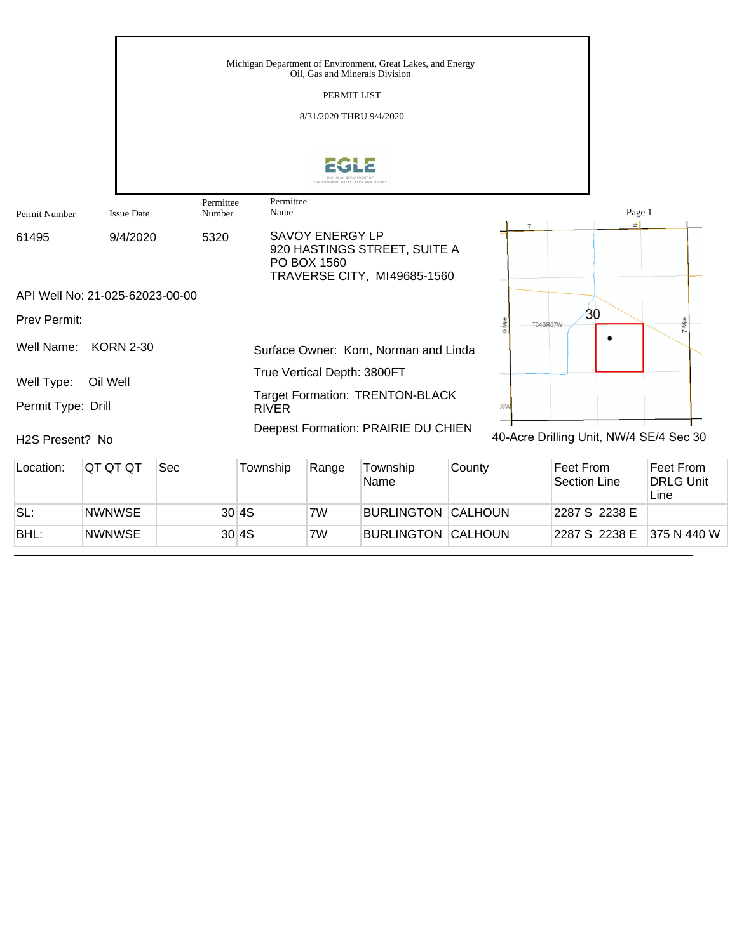|                              |                                 |                     | Michigan Department of Environment, Great Lakes, and Energy<br>Oil, Gas and Minerals Division<br>PERMIT LIST<br>8/31/2020 THRU 9/4/2020 |                                                                   |
|------------------------------|---------------------------------|---------------------|-----------------------------------------------------------------------------------------------------------------------------------------|-------------------------------------------------------------------|
|                              |                                 |                     | ENVIRONMENT GREAT LAKES AND ENERG                                                                                                       |                                                                   |
| Permit Number                | <b>Issue Date</b>               | Permittee<br>Number | Permittee<br>Name                                                                                                                       | Page 1<br>$\circ$                                                 |
| 61495                        | 9/4/2020                        | 5320                | <b>SAVOY ENERGY LP</b><br>920 HASTINGS STREET, SUITE A<br>PO BOX 1560<br>TRAVERSE CITY, MI49685-1560                                    |                                                                   |
|                              | API Well No: 21-025-62023-00-00 |                     |                                                                                                                                         |                                                                   |
| <b>Prev Permit:</b>          |                                 |                     |                                                                                                                                         | 30<br>Mile<br><b>S</b><br><b>T04SR07W</b><br>cc<br>$\overline{ }$ |
| Well Name:                   | <b>KORN 2-30</b>                |                     | Surface Owner: Korn, Norman and Linda                                                                                                   |                                                                   |
| Well Type:                   | Oil Well                        |                     | True Vertical Depth: 3800FT                                                                                                             |                                                                   |
| Permit Type: Drill           |                                 |                     | <b>Target Formation: TRENTON-BLACK</b><br><b>RIVER</b>                                                                                  | )8 <sub>M</sub>                                                   |
| H <sub>2</sub> S Present? No |                                 |                     | Deepest Formation: PRAIRIE DU CHIEN                                                                                                     | 40-Acre Drilling Unit, NW/4 SE/4 Sec 30                           |

| Location: | IQT QT QT     | Sec | Township | Range | Township<br><b>Name</b>   | County | Feet From<br>Section Line | Feet From<br><b>DRLG Unit</b><br>Line |
|-----------|---------------|-----|----------|-------|---------------------------|--------|---------------------------|---------------------------------------|
| SL:       | <b>NWNWSE</b> |     | 30 4S    | 7W    | <b>BURLINGTON CALHOUN</b> |        | 2287 S 2238 E             |                                       |
| BHL:      | <b>NWNWSE</b> |     | 30 4S    | 7W    | <b>BURLINGTON CALHOUN</b> |        | 2287 S 2238 E             | 375 N 440 W                           |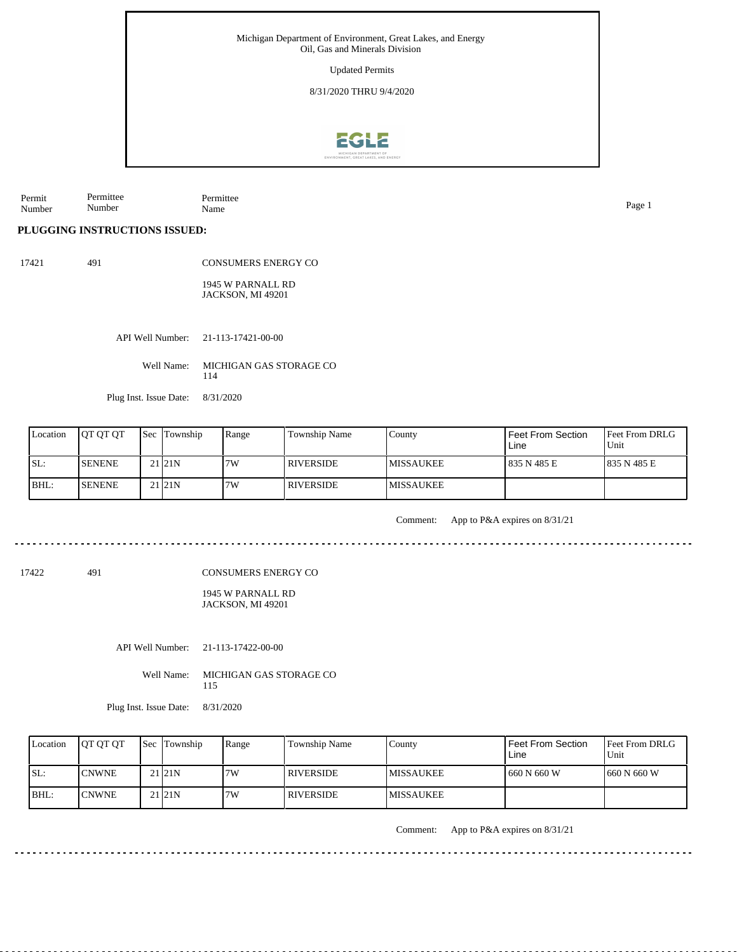Updated Permits

8/31/2020 THRU 9/4/2020



Permit Number Permittee Number Permittee Name Page 1

**PLUGGING INSTRUCTIONS ISSUED:**

17421 491 CONSUMERS ENERGY CO

> 1945 W PARNALL RD JACKSON, MI 49201

API Well Number: 21-113-17421-00-00

Well Name: MICHIGAN GAS STORAGE CO 114

Plug Inst. Issue Date: 8/31/2020

| Location | <b>OT OT OT</b> | <b>Sec</b> Township | Range | Township Name    | Countv            | <b>Feet From Section</b><br>Line | <b>Feet From DRLG</b><br>Unit |
|----------|-----------------|---------------------|-------|------------------|-------------------|----------------------------------|-------------------------------|
| ISL:     | <b>ISENENE</b>  | 21 21N              | 17W   | <b>RIVERSIDE</b> | <b>IMISSAUKEE</b> | 835 N 485 E                      | 1835 N 485 E                  |
| BHL:     | <b>ISENENE</b>  | 21 <sub>121</sub> N | 7W    | <b>RIVERSIDE</b> | <b>IMISSAUKEE</b> |                                  |                               |

Comment: App to P&A expires on 8/31/21

17422 491

CONSUMERS ENERGY CO

1945 W PARNALL RD JACKSON, MI 49201

API Well Number: 21-113-17422-00-00

Well Name: MICHIGAN GAS STORAGE CO 115

Plug Inst. Issue Date: 8/31/2020

| Location | <b>IOT OT OT</b> | <b>Sec Township</b> | Range | Township Name | County            | Feet From Section<br>Line | <b>Feet From DRLG</b><br>Unit |
|----------|------------------|---------------------|-------|---------------|-------------------|---------------------------|-------------------------------|
| ISL:     | <b>CNWNE</b>     | 21 <sub>121</sub> N | 7W    | I RIVERSIDE.  | <b>IMISSAUKEE</b> | 660 N 660 W               | 1660 N 660 W                  |
| $IBHL$ : | <b>CNWNE</b>     | 21121N              | 7W    | I RIVERSIDE   | <b>IMISSAUKEE</b> |                           |                               |

Comment: App to P&A expires on 8/31/21

. . . . . . . .

<u>. . . . . . . .</u>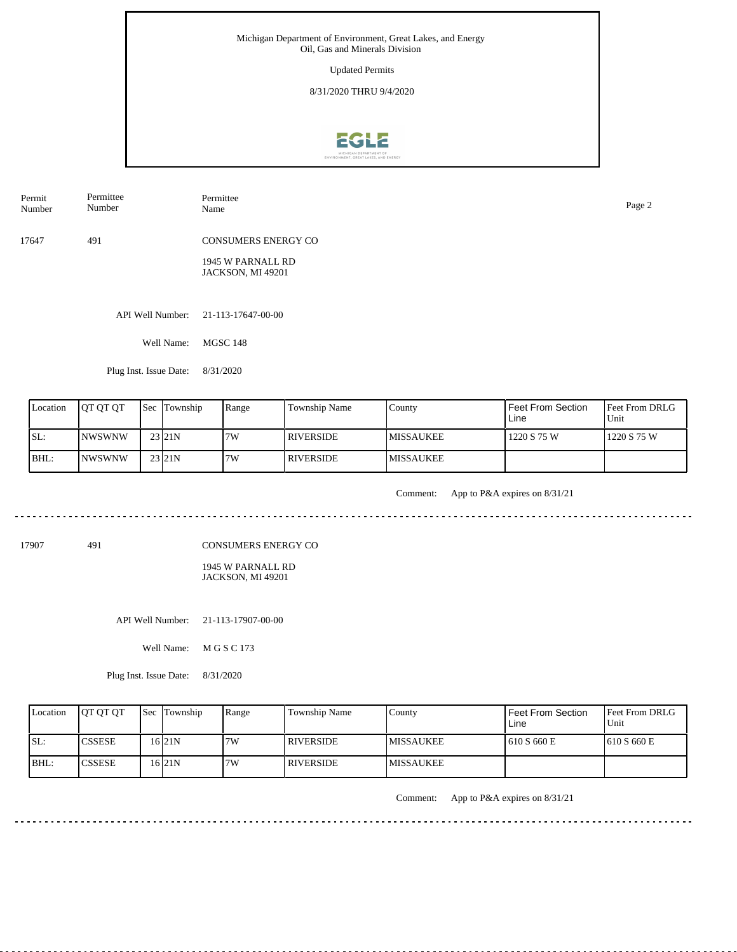Updated Permits

8/31/2020 THRU 9/4/2020



| Permit | Permittee | Permittee                  | Page 2 |
|--------|-----------|----------------------------|--------|
| Number | Number    | Name                       |        |
| 17647  | 491       | <b>CONSUMERS ENERGY CO</b> |        |

1945 W PARNALL RD JACKSON, MI 49201

API Well Number: 21-113-17647-00-00

Well Name: MGSC 148

Plug Inst. Issue Date: 8/31/2020

| Location | <b>OT OT OT</b> | <b>Sec</b> Township | Range | <b>Township Name</b> | County            | Feet From Section<br>Line | <b>IFeet From DRLG</b><br>Unit |
|----------|-----------------|---------------------|-------|----------------------|-------------------|---------------------------|--------------------------------|
| ISL:     | <b>INWSWNW</b>  | 23 21N              | 7W    | <b>RIVERSIDE</b>     | <b>IMISSAUKEE</b> | 1220 S 75 W               | 1220 S 75 W                    |
| BHL:     | <b>INWSWNW</b>  | 23 21N              | 7W    | <b>RIVERSIDE</b>     | <b>IMISSAUKEE</b> |                           |                                |

<u>. . . . . . . . . . . .</u>

Comment: App to P&A expires on 8/31/21

الدامات بالدامات

. . . . . . . . . . . .

17907 491

CONSUMERS ENERGY CO

1945 W PARNALL RD JACKSON, MI 49201

API Well Number: 21-113-17907-00-00

Well Name: M G S C 173

Plug Inst. Issue Date: 8/31/2020

| Location | <b>IOT OT OT</b> | <b>Sec Township</b> | Range | <b>Township Name</b> | County            | Feet From Section<br>Line | <b>IFeet From DRLG</b><br>Unit |
|----------|------------------|---------------------|-------|----------------------|-------------------|---------------------------|--------------------------------|
| ISL:     | <b>CSSESE</b>    | 16 21 N             | 7W    | <b>RIVERSIDE</b>     | <b>IMISSAUKEE</b> | 610 S 660 E               | 1610 S 660 E                   |
| BHL:     | <b>ICSSESE</b>   | 16 21 N             | 7W    | <b>RIVERSIDE</b>     | <b>IMISSAUKEE</b> |                           |                                |

Comment: App to P&A expires on 8/31/21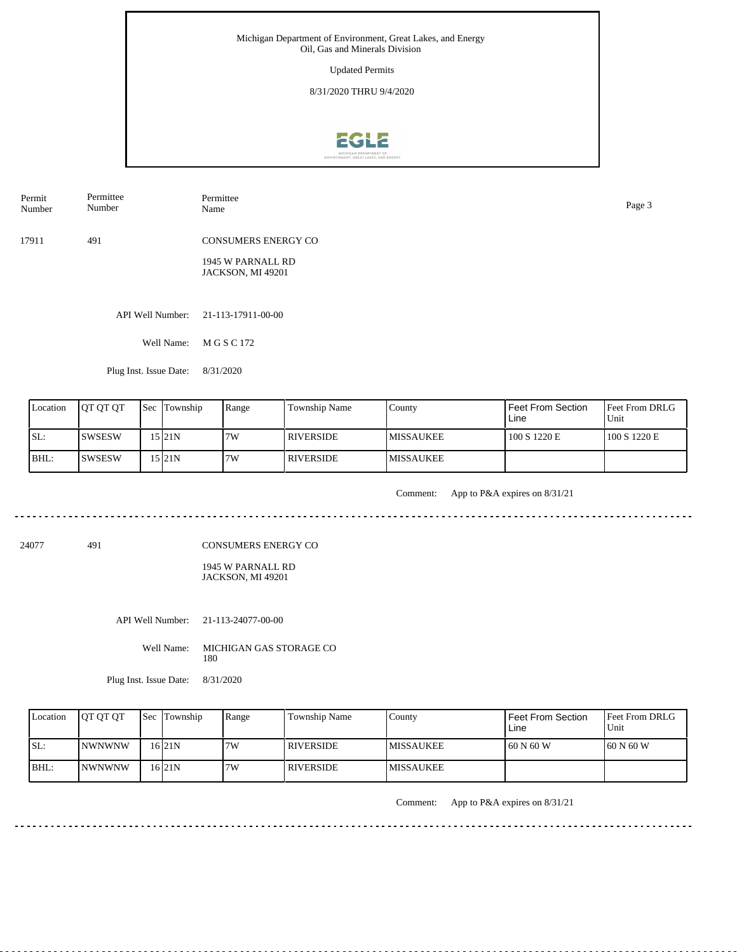Updated Permits

8/31/2020 THRU 9/4/2020



| Permit | Permittee | Permittee                  | Page 3 |
|--------|-----------|----------------------------|--------|
| Number | Number    | Name                       |        |
| 17911  | 491       | <b>CONSUMERS ENERGY CO</b> |        |

1945 W PARNALL RD JACKSON, MI 49201

API Well Number: 21-113-17911-00-00

Well Name: M G S C 172

Plug Inst. Issue Date: 8/31/2020

| Location | <b>IOT OT OT</b> | <b>Sec Township</b> | Range | Township Name    | County            | Feet From Section<br>Line | <b>Feet From DRLG</b><br>l Unit |
|----------|------------------|---------------------|-------|------------------|-------------------|---------------------------|---------------------------------|
| SL:      | ISWSESW          | 15 I21 N            | 7W    | <b>RIVERSIDE</b> | <b>IMISSAUKEE</b> | 100 S 1220 E              | 100 S 1220 E                    |
| BHL:     | ISWSESW          | 15 21N              | 7W    | I RIVERSIDE.     | <b>IMISSAUKEE</b> |                           |                                 |

<u>. . . . . . . . . . . . .</u>

Comment: App to P&A expires on 8/31/21

24077 491

CONSUMERS ENERGY CO

1945 W PARNALL RD JACKSON, MI 49201

API Well Number: 21-113-24077-00-00

Well Name: MICHIGAN GAS STORAGE CO 180

Plug Inst. Issue Date: 8/31/2020

| Location | <b>JOT OT OT</b> | <b>Sec Township</b> | Range | Township Name    | County            | Feet From Section<br>Line | <b>Feet From DRLG</b><br>Unit |
|----------|------------------|---------------------|-------|------------------|-------------------|---------------------------|-------------------------------|
| SL:      | <b>INWNWNW</b>   | 16 21 N             | 7W    | <b>RIVERSIDE</b> | <b>IMISSAUKEE</b> | 1 60 N 60 W               | 160 N 60 W                    |
| $IBHL$ : | INWNWNW          | 16 21 N             | 7W    | RIVERSIDE        | <b>IMISSAUKEE</b> |                           |                               |

Comment: App to P&A expires on 8/31/21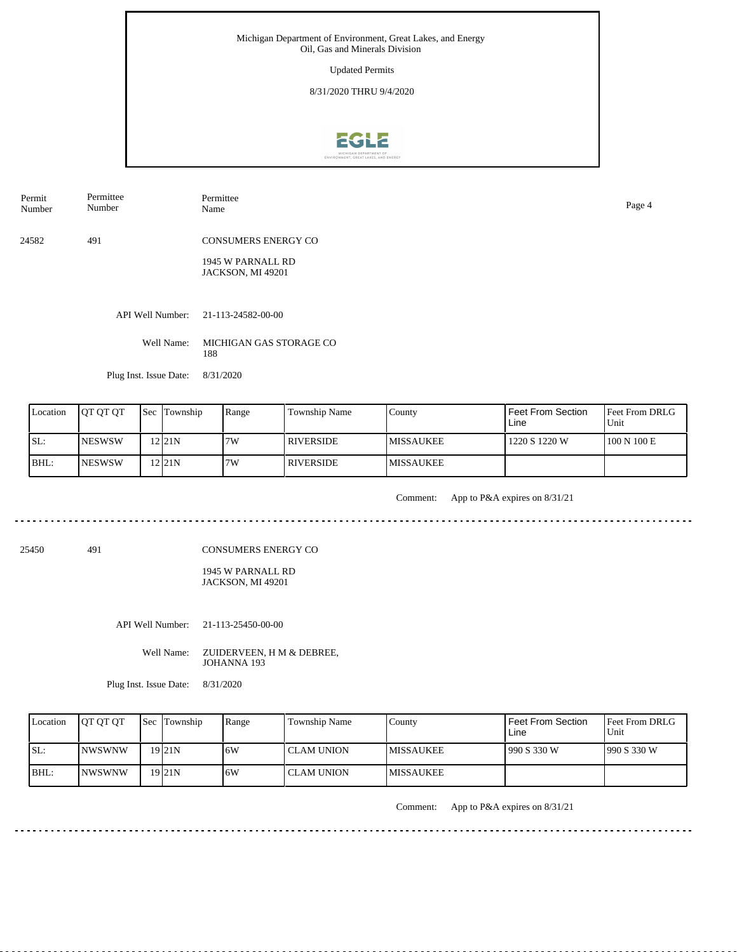Updated Permits

8/31/2020 THRU 9/4/2020



Permit Permittee

Number

Number

Permittee Name Page 4

24582 491 CONSUMERS ENERGY CO

> 1945 W PARNALL RD JACKSON, MI 49201

API Well Number: 21-113-24582-00-00

Well Name: MICHIGAN GAS STORAGE CO 188

Plug Inst. Issue Date: 8/31/2020

| Location | <b>IOT OT OT</b> | <b>Sec Township</b> | Range | <b>Township Name</b> | County            | Feet From Section<br>Line | <b>Feet From DRLG</b><br>Unit |
|----------|------------------|---------------------|-------|----------------------|-------------------|---------------------------|-------------------------------|
| SL:      | <b>NESWSW</b>    | 121N                | 7W    | <b>RIVERSIDE</b>     | <b>IMISSAUKEE</b> | 1220 S 1220 W             | 100 N 100 E                   |
| BHL:     | <b>NESWSW</b>    | $2$  21N            | 7W    | RIVERSIDE            | <b>IMISSAUKEE</b> |                           |                               |

Comment: App to P&A expires on 8/31/21

25450 491

CONSUMERS ENERGY CO

1945 W PARNALL RD JACKSON, MI 49201

API Well Number: 21-113-25450-00-00

Well Name: ZUIDERVEEN, H M & DEBREE, JOHANNA 193

Plug Inst. Issue Date: 8/31/2020

| Location | <b>IOT OT OT</b> | <b>Sec</b> Township | Range | <b>Township Name</b> | County            | Feet From Section<br>Line | <b>Feet From DRLG</b><br>Unit |
|----------|------------------|---------------------|-------|----------------------|-------------------|---------------------------|-------------------------------|
| ISL:     | <b>INWSWNW</b>   | 19 <sub>21</sub> N  | .6W   | l CLAM UNION         | <b>IMISSAUKEE</b> | 990 S 330 W               | 1990 S 330 W                  |
| BHL:     | <b>INWSWNW</b>   | 19 <sub>21</sub> N  | .6W   | I CLAM UNION-        | <b>IMISSAUKEE</b> |                           |                               |

Comment: App to P&A expires on 8/31/21

. . . . . . . . . . . . . . . . . . . .

<u>. . . . . . . .</u>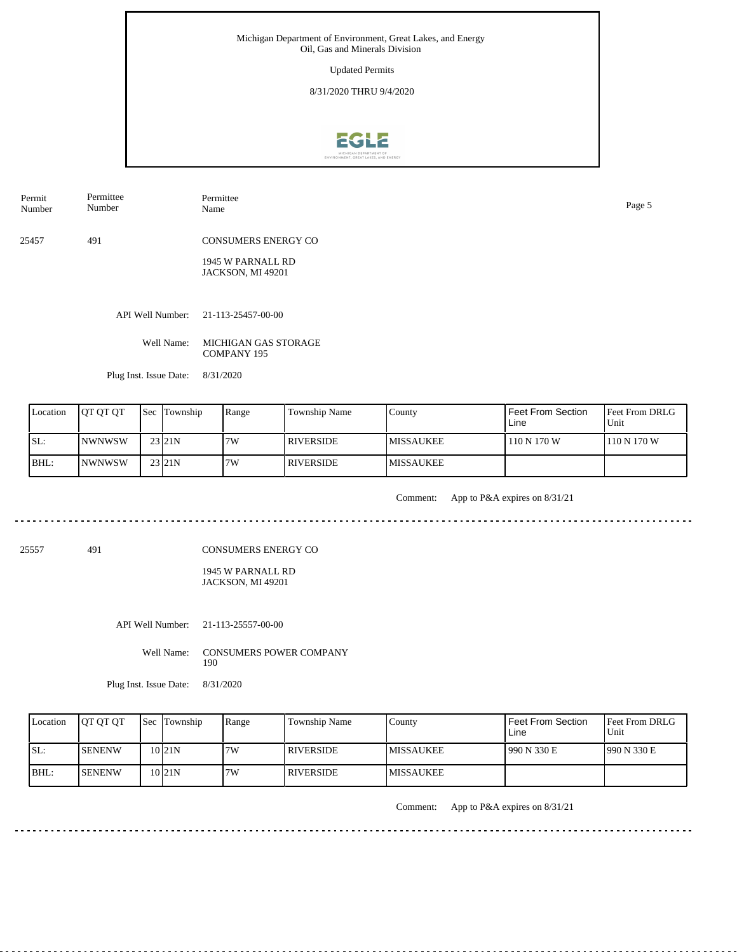Updated Permits

8/31/2020 THRU 9/4/2020



Permit Permittee Number

Number

Permittee Name Page 5

25457 491 CONSUMERS ENERGY CO

> 1945 W PARNALL RD JACKSON, MI 49201

API Well Number: 21-113-25457-00-00

Well Name: MICHIGAN GAS STORAGE COMPANY 195

Plug Inst. Issue Date: 8/31/2020

| Location | <b>JOT OT OT</b> | Sec | Township          | Range | Township Name    | County            | <b>Feet From Section</b><br>Line | <b>Feet From DRLG</b><br>l Unit |
|----------|------------------|-----|-------------------|-------|------------------|-------------------|----------------------------------|---------------------------------|
| SL:      | INWNWSW          |     | 23 21 N           | 7W    | <b>RIVERSIDE</b> | <b>IMISSAUKEE</b> | 110 N 170 W                      | 110 N 170 W                     |
| BHL:     | INWNWSW          |     | 23 <sub>21N</sub> | 7W    | <b>RIVERSIDE</b> | <b>MISSAUKEE</b>  |                                  |                                 |

Comment: App to P&A expires on 8/31/21

25557 491

CONSUMERS ENERGY CO

1945 W PARNALL RD JACKSON, MI 49201

API Well Number: 21-113-25557-00-00

Well Name: CONSUMERS POWER COMPANY 190

Plug Inst. Issue Date: 8/31/2020

| Location | <b>IOT OT OT</b> | <b>Sec Township</b> | Range | <b>Township Name</b> | Countv            | <b>Feet From Section</b><br>Line | Feet From DRLG<br>Unit |
|----------|------------------|---------------------|-------|----------------------|-------------------|----------------------------------|------------------------|
| ISL:     | ISENENW          | 10 I 21 N           | 7W    | RIVERSIDE            | <b>IMISSAUKEE</b> | 990 N 330 E                      | 1990 N 330 E           |
| $IBHL$ : | <b>ISENENW</b>   | 10 I 21 N           | 7W    | <b>RIVERSIDE</b>     | <b>IMISSAUKEE</b> |                                  |                        |

Comment: App to P&A expires on 8/31/21

. . . . . . . . . . . . . . . . . . . .

<u>. . . . . . . .</u>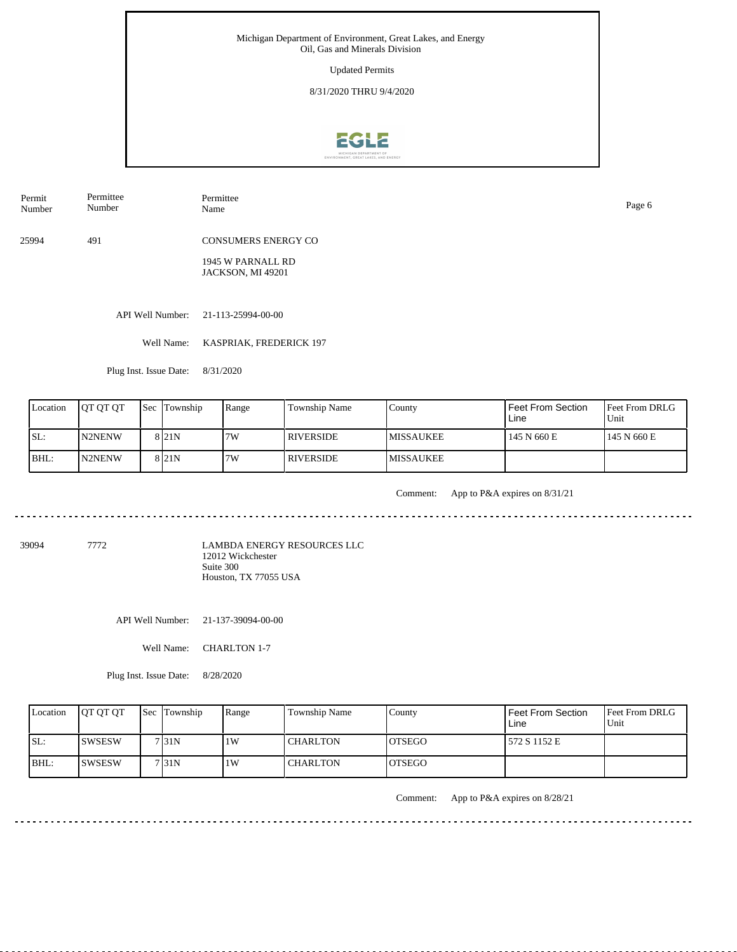Updated Permits

8/31/2020 THRU 9/4/2020



Permittee Number

Permit Number Permittee Name Page 6

25994 491 CONSUMERS ENERGY CO

> 1945 W PARNALL RD JACKSON, MI 49201

API Well Number: 21-113-25994-00-00

Well Name: KASPRIAK, FREDERICK 197

Plug Inst. Issue Date: 8/31/2020

| Location | <b>IOT OT OT</b> | <b>Sec Township</b> | Range | Township Name    | County            | Feet From Section<br>Line | <b>Feet From DRLG</b><br>Unit |
|----------|------------------|---------------------|-------|------------------|-------------------|---------------------------|-------------------------------|
| SL:      | N2NENW           | 8 <sub>21N</sub>    | 7W    | <b>RIVERSIDE</b> | IMISSAUKEE        | 145 N 660 E               | 145 N 660 E                   |
| BHL:     | <b>IN2NENW</b>   | 8 <sub>21N</sub>    | 7W    | <b>RIVERSIDE</b> | <b>IMISSAUKEE</b> |                           |                               |

. . . . . . . .

Comment: App to P&A expires on 8/31/21

39094 7772

LAMBDA ENERGY RESOURCES LLC 12012 Wickchester Suite 300 Houston, TX 77055 USA

API Well Number: 21-137-39094-00-00

Well Name: CHARLTON 1-7

Plug Inst. Issue Date: 8/28/2020

| Location | <b>OT OT OT</b> | <b>Sec Township</b> | Range | <b>Township Name</b> | Countv         | Feet From Section<br>Line | <b>Feet From DRLG</b><br>Unit |
|----------|-----------------|---------------------|-------|----------------------|----------------|---------------------------|-------------------------------|
| SL:      | ISWSESW         | 7131N               | 1 W   | <b>CHARLTON</b>      | <b>IOTSEGO</b> | 572 S 1152 E              |                               |
| BHL:     | ISWSESW         | 7 <sub>131</sub> N  | 1 W   | <b>CHARLTON</b>      | <b>IOTSEGO</b> |                           |                               |

Comment: App to P&A expires on 8/28/21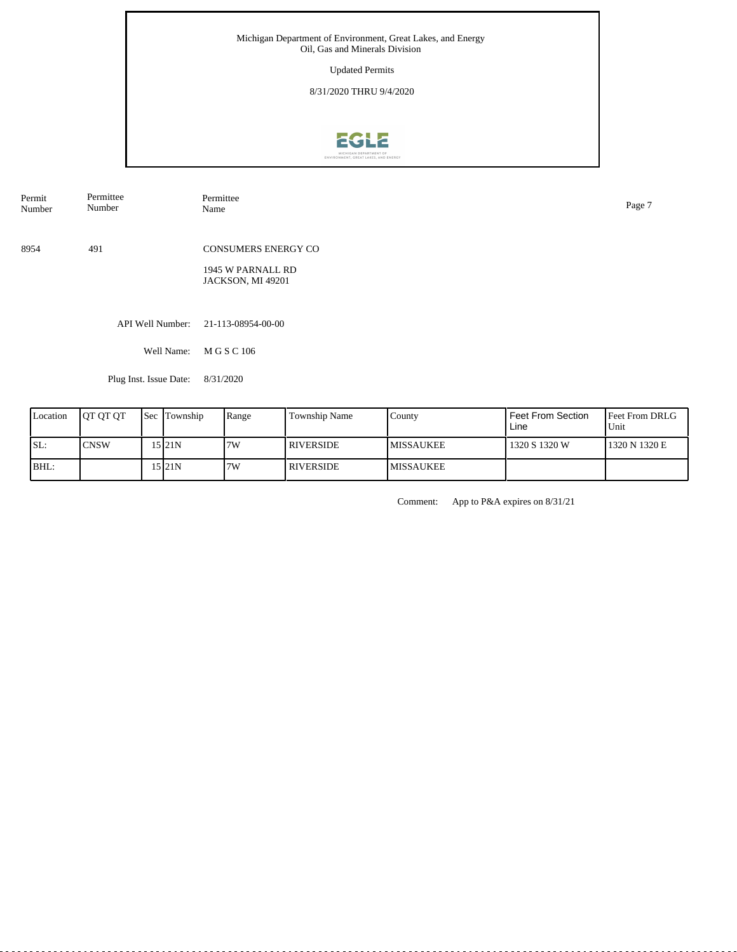Updated Permits

8/31/2020 THRU 9/4/2020



API Well Number: 21-113-08954-00-00 8954 491 CONSUMERS ENERGY CO 1945 W PARNALL RD JACKSON, MI 49201 Permit Number Permittee Number Permittee<br>Name Name Page 7

Well Name: M G S C 106

Plug Inst. Issue Date: 8/31/2020

| Location | <b>OT OT OT</b> | <b>Sec</b> Township | Range | Township Name    | Countv           | Feet From Section<br>Line | <b>Feet From DRLG</b><br>Unit |
|----------|-----------------|---------------------|-------|------------------|------------------|---------------------------|-------------------------------|
| ISL:     | <b>CNSW</b>     | .5 21N              | 7W    | <b>RIVERSIDE</b> | <b>MISSAUKEE</b> | 1320 S 1320 W             | 1320 N 1320 E                 |
| BHL:     |                 | 15 I 21 N           | 7W    | <b>RIVERSIDE</b> | <b>MISSAUKEE</b> |                           |                               |

Comment: App to P&A expires on 8/31/21